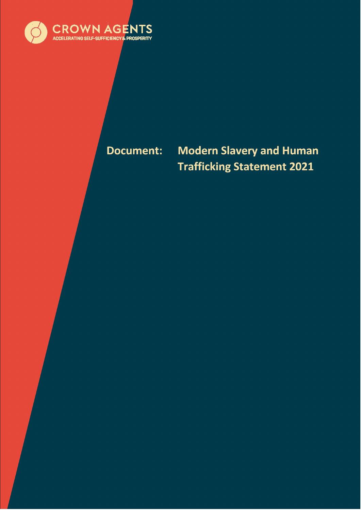

# **Document:**

# **Modern Slavery and Human Trafficking Statement 2021**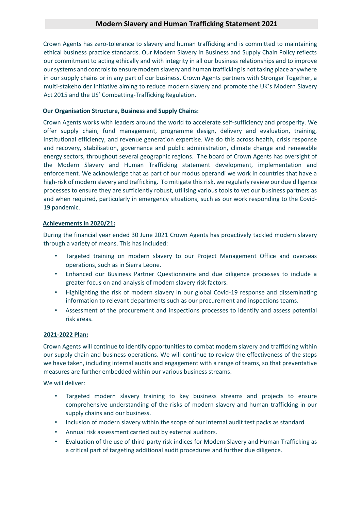### **Modern Slavery and Human Trafficking Statement 2021**

Crown Agents has zero-tolerance to slavery and human trafficking and is committed to maintaining ethical business practice standards. Our Modern Slavery in Business and Supply Chain Policy reflects our commitment to acting ethically and with integrity in all our business relationships and to improve our systems and controls to ensure modern slavery and human trafficking is not taking place anywhere in our supply chains or in any part of our business. Crown Agents partners with Stronger Together, a multi-stakeholder initiative aiming to reduce modern slavery and promote the UK's Modern Slavery Act 2015 and the US' Combatting-Trafficking Regulation.

#### **Our Organisation Structure, Business and Supply Chains:**

Crown Agents works with leaders around the world to accelerate self-sufficiency and prosperity. We offer supply chain, fund management, programme design, delivery and evaluation, training, institutional efficiency, and revenue generation expertise. We do this across health, crisis response and recovery, stabilisation, governance and public administration, climate change and renewable energy sectors, throughout several geographic regions. The board of Crown Agents has oversight of the Modern Slavery and Human Trafficking statement development, implementation and enforcement. We acknowledge that as part of our modus operandi we work in countries that have a high-risk of modern slavery and trafficking. To mitigate this risk, we regularly review our due diligence processes to ensure they are sufficiently robust, utilising various tools to vet our business partners as and when required, particularly in emergency situations, such as our work responding to the Covid-19 pandemic.

#### **Achievements in 2020/21:**

During the financial year ended 30 June 2021 Crown Agents has proactively tackled modern slavery through a variety of means. This has included:

- Targeted training on modern slavery to our Project Management Office and overseas operations, such as in Sierra Leone.
- Enhanced our Business Partner Questionnaire and due diligence processes to include a greater focus on and analysis of modern slavery risk factors.
- Highlighting the risk of modern slavery in our global Covid-19 response and disseminating information to relevant departments such as our procurement and inspections teams.
- Assessment of the procurement and inspections processes to identify and assess potential risk areas.

#### **2021-2022 Plan:**

Crown Agents will continue to identify opportunities to combat modern slavery and trafficking within our supply chain and business operations. We will continue to review the effectiveness of the steps we have taken, including internal audits and engagement with a range of teams, so that preventative measures are further embedded within our various business streams.

We will deliver:

- Targeted modern slavery training to key business streams and projects to ensure comprehensive understanding of the risks of modern slavery and human trafficking in our supply chains and our business.
- Inclusion of modern slavery within the scope of our internal audit test packs as standard
- Annual risk assessment carried out by external auditors.
- Evaluation of the use of third-party risk indices for Modern Slavery and Human Trafficking as a critical part of targeting additional audit procedures and further due diligence.